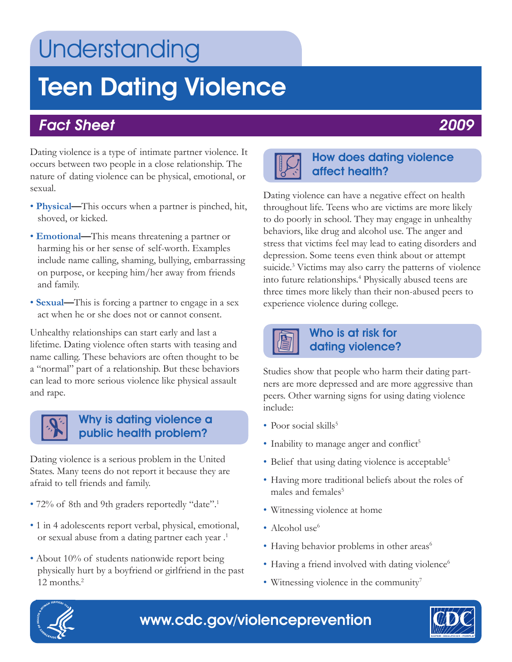## Understanding

# Teen Dating Violence

### Fact Sheet 2009

Dating violence is a type of intimate partner violence. It occurs between two people in a close relationship. The nature of dating violence can be physical, emotional, or sexual.

- **Physical—**This occurs when a partner is pinched, hit, shoved, or kicked.
- **Emotional—**This means threatening a partner or harming his or her sense of self-worth. Examples include name calling, shaming, bullying, embarrassing on purpose, or keeping him/her away from friends and family.
- **Sexual—**This is forcing a partner to engage in a sex act when he or she does not or cannot consent.

Unhealthy relationships can start early and last a lifetime. Dating violence often starts with teasing and name calling. These behaviors are often thought to be a "normal" part of a relationship. But these behaviors can lead to more serious violence like physical assault and rape.



### Why is dating violence a public health problem?

Dating violence is a serious problem in the United States. Many teens do not report it because they are afraid to tell friends and family.

- 72% of 8th and 9th graders reportedly "date".<sup>1</sup>
- 1 in 4 adolescents report verbal, physical, emotional, or sexual abuse from a dating partner each year .<sup>1</sup>
- About 10% of students nationwide report being physically hurt by a boyfriend or girlfriend in the past 12 months.<sup>2</sup>



### How does dating violence affect health?

Dating violence can have a negative effect on health throughout life. Teens who are victims are more likely to do poorly in school. They may engage in unhealthy behaviors, like drug and alcohol use. The anger and stress that victims feel may lead to eating disorders and depression. Some teens even think about or attempt suicide.<sup>3</sup> Victims may also carry the patterns of violence into future relationships.4 Physically abused teens are three times more likely than their non-abused peers to experience violence during college.



### Who is at risk for dating violence?

Studies show that people who harm their dating partners are more depressed and are more aggressive than peers. Other warning signs for using dating violence include:

- Poor social skills $5$
- Inability to manage anger and conflict<sup>5</sup>
- Belief that using dating violence is acceptable<sup>5</sup>
- Having more traditional beliefs about the roles of males and females<sup>5</sup>
- Witnessing violence at home
- Alcohol use $<sup>6</sup>$ </sup>
- Having behavior problems in other areas<sup>6</sup>
- $\bullet$  Having a friend involved with dating violence<sup>6</sup>
- Witnessing violence in the community<sup>7</sup>



## www.cdc.gov/violenceprevention